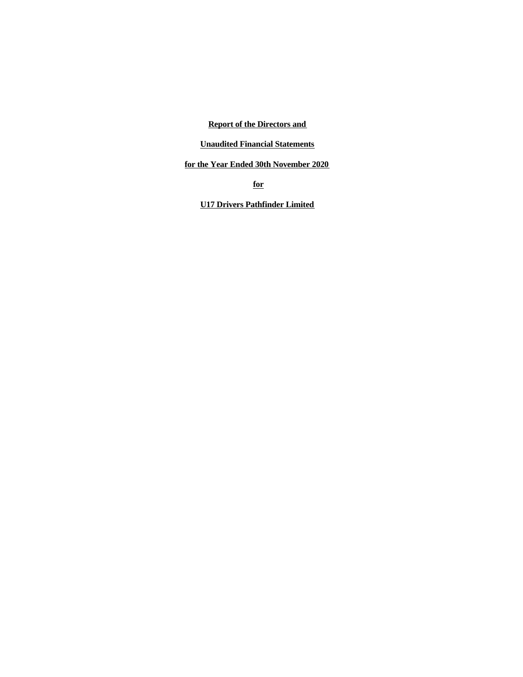**Report of the Directors and**

**Unaudited Financial Statements**

**for the Year Ended 30th November 2020**

**for**

**U17 Drivers Pathfinder Limited**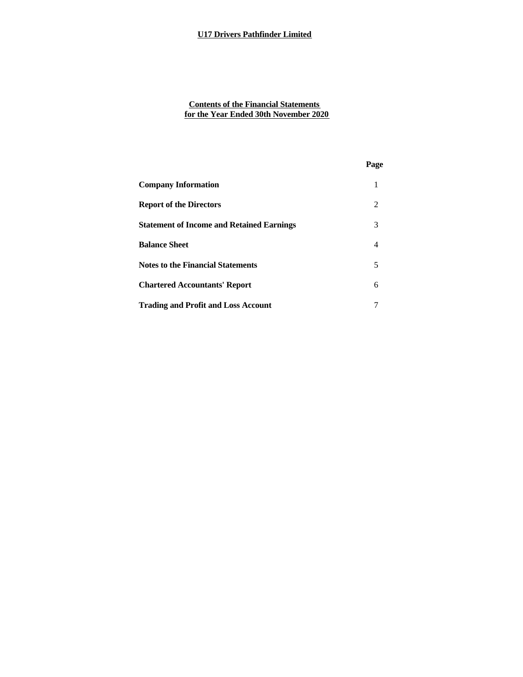# **Contents of the Financial Statements for the Year Ended 30th November 2020**

# **Page**

| <b>Company Information</b>                       | 1 |  |
|--------------------------------------------------|---|--|
| <b>Report of the Directors</b>                   | 2 |  |
| <b>Statement of Income and Retained Earnings</b> | 3 |  |
| <b>Balance Sheet</b>                             | 4 |  |
| <b>Notes to the Financial Statements</b>         | 5 |  |
| <b>Chartered Accountants' Report</b>             | 6 |  |
| <b>Trading and Profit and Loss Account</b>       |   |  |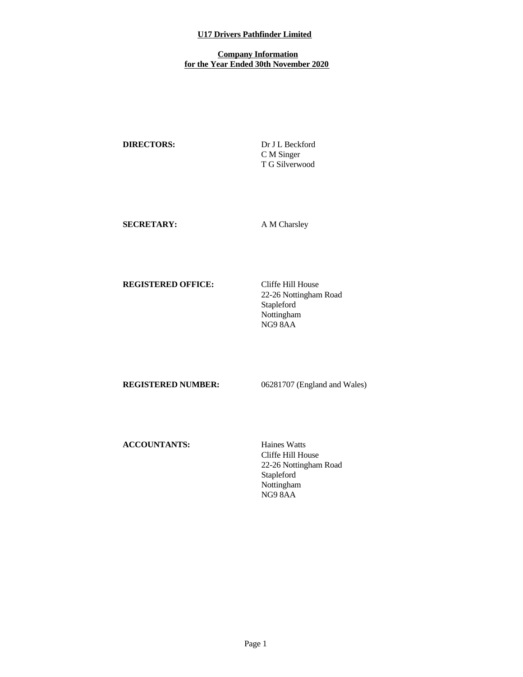### **Company Information for the Year Ended 30th November 2020**

**DIRECTORS:** Dr J L Beckford C M Singer T G Silverwood

**SECRETARY:** A M Charsley

**REGISTERED OFFICE:** Cliffe Hill House

22-26 Nottingham Road Stapleford Nottingham NG9 8AA

**REGISTERED NUMBER:** 06281707 (England and Wales)

**ACCOUNTANTS:** Haines Watts

Cliffe Hill House 22-26 Nottingham Road Stapleford Nottingham NG9 8AA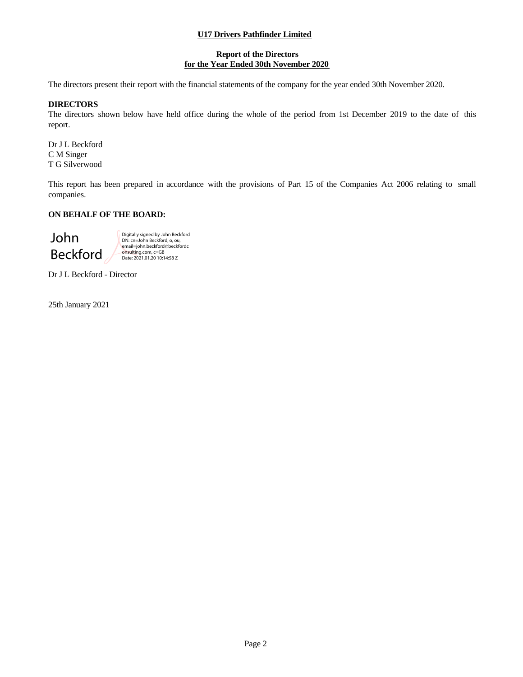### **Report of the Directors for the Year Ended 30th November 2020**

The directors present their report with the financial statements of the company for the year ended 30th November 2020.

### **DIRECTORS**

The directors shown below have held office during the whole of the period from 1st December 2019 to the date of this report.

Dr J L Beckford C M Singer T G Silverwood

This report has been prepared in accordance with the provisions of Part 15 of the Companies Act 2006 relating to small companies.

# **ON BEHALF OF THE BOARD:**

John<br>
Page 2<br>
Star January 2021<br>
Star January 2021<br>
Page 2<br>
Star January 2021<br>
Page 2<br>
Page 2 Beckford Digitally signed by John Beckford DN: cn=John Beckford, o, ou, email=john.beckford@beckfordc onsulting.com, c=GB Date: 2021.01.20 10:14:58 Z

Dr J L Beckford - Director

25th January 2021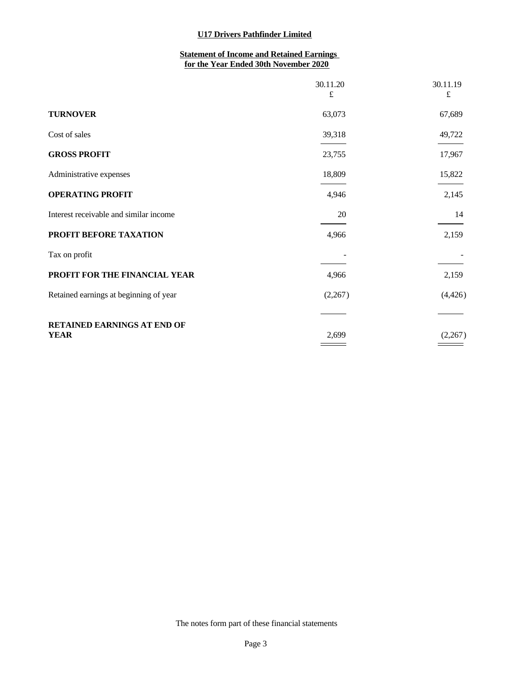# **Statement of Income and Retained Earnings for the Year Ended 30th November 2020**

|                                        | 30.11.20<br>£ | 30.11.19<br>£ |
|----------------------------------------|---------------|---------------|
| <b>TURNOVER</b>                        | 63,073        | 67,689        |
| Cost of sales                          | 39,318        | 49,722        |
| <b>GROSS PROFIT</b>                    | 23,755        | 17,967        |
| Administrative expenses                | 18,809        | 15,822        |
| <b>OPERATING PROFIT</b>                | 4,946         | 2,145         |
| Interest receivable and similar income | 20            | 14            |
| PROFIT BEFORE TAXATION                 | 4,966         | 2,159         |
| Tax on profit                          |               |               |
| PROFIT FOR THE FINANCIAL YEAR          | 4,966         | 2,159         |
| Retained earnings at beginning of year | (2,267)       | (4, 426)      |
| RETAINED EARNINGS AT END OF            |               |               |
| <b>YEAR</b>                            | 2,699         | (2,267)       |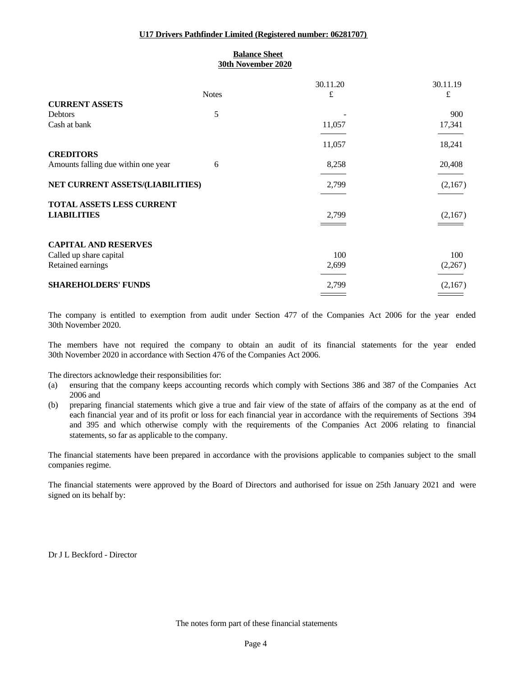### **U17 Drivers Pathfinder Limited (Registered number: 06281707)**

# **Balance Sheet 30th November 2020**

|                                     |              | 30.11.20 | 30.11.19 |
|-------------------------------------|--------------|----------|----------|
|                                     | <b>Notes</b> | £        | £        |
| <b>CURRENT ASSETS</b>               |              |          |          |
| Debtors                             | 5            |          | 900      |
| Cash at bank                        |              | 11,057   | 17,341   |
|                                     |              |          |          |
|                                     |              | 11,057   | 18,241   |
| <b>CREDITORS</b>                    |              |          |          |
| Amounts falling due within one year | 6            | 8,258    | 20,408   |
| NET CURRENT ASSETS/(LIABILITIES)    |              | 2,799    | (2,167)  |
|                                     |              |          |          |
| TOTAL ASSETS LESS CURRENT           |              |          |          |
| <b>LIABILITIES</b>                  |              | 2,799    | (2,167)  |
|                                     |              |          |          |
|                                     |              |          |          |
| <b>CAPITAL AND RESERVES</b>         |              |          |          |
| Called up share capital             |              | 100      | 100      |
| Retained earnings                   |              | 2,699    | (2,267)  |
| <b>SHAREHOLDERS' FUNDS</b>          |              |          |          |
|                                     |              | 2,799    | (2,167)  |

The company is entitled to exemption from audit under Section 477 of the Companies Act 2006 for the year ended 30th November 2020.

The members have not required the company to obtain an audit of its financial statements for the year ended 30th November 2020 in accordance with Section 476 of the Companies Act 2006.

The directors acknowledge their responsibilities for:

- (a) ensuring that the company keeps accounting records which comply with Sections 386 and 387 of the Companies Act 2006 and
- (b) preparing financial statements which give a true and fair view of the state of affairs of the company as at the end of each financial year and of its profit or loss for each financial year in accordance with the requirements of Sections 394 and 395 and which otherwise comply with the requirements of the Companies Act2006 relating to financial statements, so far as applicable to the company.

The financial statements have been prepared in accordance with the provisions applicable to companies subject to the small companies regime.

The financial statements were approved by the Board of Directors and authorised for issue on 25th January 2021 and were signed on its behalf by:

Dr J L Beckford - Director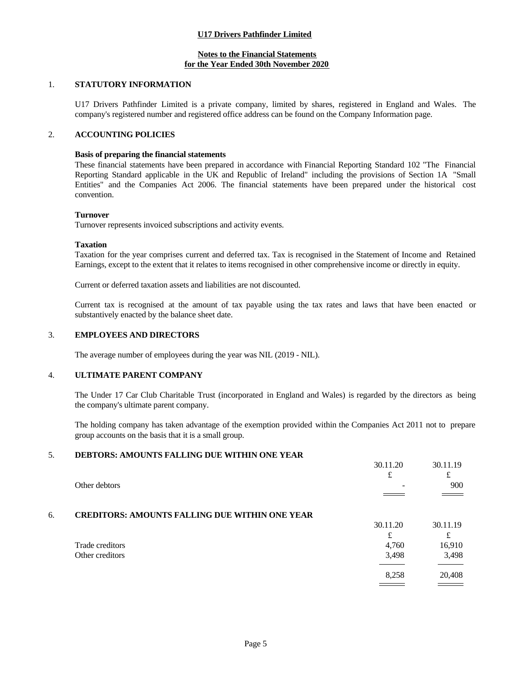### **Notes to the Financial Statements for the Year Ended 30th November 2020**

# 1. **STATUTORY INFORMATION**

U17 Drivers Pathfinder Limited is a private company, limited by shares, registered in England and Wales. The company's registered number and registered office address can be found on the Company Information page.

### 2. **ACCOUNTING POLICIES**

#### **Basis of preparing the financial statements**

These financial statements have been prepared in accordance with Financial Reporting Standard 102 "The Financial Reporting Standard applicable in the UK and Republic of Ireland" including the provisions of Section 1A "Small Entities" and the Companies Act 2006. The financial statements have been prepared under the historical cost convention.

#### **Turnover**

Turnover represents invoiced subscriptions and activity events.

#### **Taxation**

Taxation for the year comprises current and deferred tax. Tax is recognised in the Statement of Income and Retained Earnings, except to the extent that it relates to items recognised in other comprehensive income or directly in equity.

Current or deferred taxation assets and liabilities are not discounted.

Current tax is recognised at the amount of tax payable using the tax rates and laws that have been enacted or substantively enacted by the balance sheet date.

#### 3. **EMPLOYEES AND DIRECTORS**

The average number of employees during the year was NIL (2019 - NIL).

#### 4. **ULTIMATE PARENT COMPANY**

The Under 17 Car Club Charitable Trust (incorporated in England and Wales) is regarded by the directors as being the company's ultimate parent company.

The holding company has taken advantage of the exemption provided within the Companies Act 2011 not to prepare group accounts on the basis that it is a small group.

#### 5. **DEBTORS: AMOUNTS FALLING DUE WITHIN ONE YEAR**

|    |                                                       | 30.11.20 | 30.11.19      |  |
|----|-------------------------------------------------------|----------|---------------|--|
|    |                                                       |          | £             |  |
|    | Other debtors                                         |          | 900           |  |
|    |                                                       |          | $\sim$ $\sim$ |  |
|    |                                                       |          |               |  |
| 6. | <b>CREDITORS: AMOUNTS FALLING DUE WITHIN ONE YEAR</b> |          |               |  |
|    |                                                       | 30.11.20 | 30.11.19      |  |
|    |                                                       |          |               |  |
|    | Trade creditors                                       | 4,760    | 16,910        |  |
|    | Other creditors                                       | 3,498    | 3,498         |  |
|    |                                                       |          |               |  |
|    |                                                       | 8,258    | 20,408        |  |
|    |                                                       |          |               |  |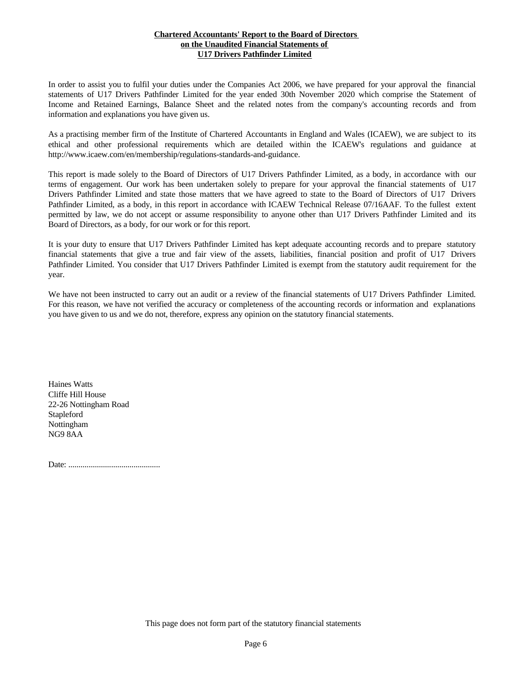### **Chartered Accountants' Report to the Board of Directors on the Unaudited Financial Statements of U17 Drivers Pathfinder Limited**

In order to assist you to fulfil your duties under the Companies Act 2006, we have prepared for your approval the financial statements of U17 Drivers Pathfinder Limited for the yearended 30th November 2020 which comprise the Statement of Income and Retained Earnings, Balance Sheet and the related notes from the company's accounting records and from information and explanations you have given us.

As a practising member firm of the Institute of Chartered Accountants in England and Wales (ICAEW), we are subject to its ethical and other professional requirements which are detailed within the ICAEW's regulations and guidance at http://www.icaew.com/en/membership/regulations-standards-and-guidance.

This report is made solely to the Board of Directors of U17 Drivers Pathfinder Limited, as a body, in accordance with our terms of engagement. Our work has been undertaken solely to prepare for your approval the financial statements of U17 Drivers Pathfinder Limited and state those matters that we have agreed to state to the Board of Directors of U17 Drivers Pathfinder Limited, as a body, in this report in accordance with ICAEW Technical Release 07/16AAF. To the fullest extent permitted by law, we do not accept or assume responsibility to anyone other than U17 Drivers Pathfinder Limited and its Board of Directors, as a body, for our work or for this report.

It is your duty to ensure that U17 Drivers Pathfinder Limited has kept adequate accounting records and to prepare statutory financial statements that give a true and fair view of the assets, liabilities, financial position and profit of U17 Drivers Pathfinder Limited. You consider that U17 Drivers Pathfinder Limited is exempt from the statutory audit requirement for the year.

We have not been instructed to carry out an audit or a review of the financial statements of U17 Drivers Pathfinder Limited. For this reason, we have not verified the accuracy or completeness of the accounting records or information and explanations you have given to us and we do not, therefore, express any opinion on the statutory financial statements.

Haines Watts Cliffe Hill House 22-26 Nottingham Road Stapleford Nottingham NG9 8AA

Date: .............................................